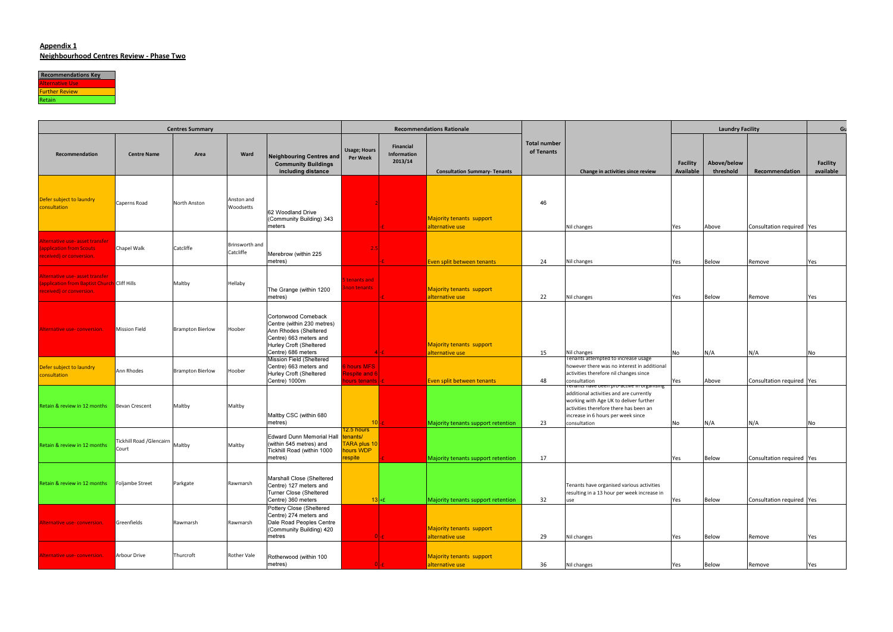#### Appendix 1Neighbourhood Centres Review - Phase Two



| <b>Centres Summary</b>                                                                                    |                                    |                         |                             |                                                                                                                                               |                                                               | <b>Recommendations Rationale</b>    |                                                    |                                   |                                                                                                                                                                                                                                 |                       | <b>Laundry Facility</b>  |                                  |                              |
|-----------------------------------------------------------------------------------------------------------|------------------------------------|-------------------------|-----------------------------|-----------------------------------------------------------------------------------------------------------------------------------------------|---------------------------------------------------------------|-------------------------------------|----------------------------------------------------|-----------------------------------|---------------------------------------------------------------------------------------------------------------------------------------------------------------------------------------------------------------------------------|-----------------------|--------------------------|----------------------------------|------------------------------|
| Recommendation                                                                                            | <b>Centre Name</b>                 | Area                    | Ward                        | <b>Neighbouring Centres and</b><br><b>Community Buildings</b><br>including distance                                                           | <b>Usage; Hours</b><br><b>Per Week</b>                        | Financial<br>Information<br>2013/14 | <b>Consultation Summary- Tenants</b>               | <b>Total number</b><br>of Tenants | Change in activities since review                                                                                                                                                                                               | Facility<br>Available | Above/below<br>threshold | Recommendation                   | <b>Facility</b><br>available |
| Defer subject to laundry<br>consultation                                                                  | Caperns Road                       | North Anston            | Anston and<br>Woodsetts     | 62 Woodland Drive<br>(Community Building) 343<br>meters                                                                                       |                                                               |                                     | Majority tenants support<br>alternative use        | 46                                | Nil changes                                                                                                                                                                                                                     | Yes                   | Above                    | Consultation required Yes        |                              |
| Alternative use- asset transfer<br>application from Scouts<br>received) or conversion.                    | Chapel Walk                        | Catcliffe               | Brinsworth and<br>Catcliffe | Merebrow (within 225<br>metres)                                                                                                               |                                                               |                                     | Even split between tenants                         | 24                                | Nil changes                                                                                                                                                                                                                     | Yes                   | Below                    | Remove                           | Yes                          |
| Alternative use- asset transfer<br>application from Baptist Church Cliff Hills<br>eceived) or conversion. |                                    | Maltby                  | Hellaby                     | The Grange (within 1200<br>metres)                                                                                                            | tenants and<br>non tenants                                    |                                     | Majority tenants support<br>alternative use        | 22                                | Nil changes                                                                                                                                                                                                                     | Yes                   | Below                    | Remove                           | Yes                          |
| Alternative use-conversion.                                                                               | <b>Mission Field</b>               | <b>Brampton Bierlow</b> | Hoober                      | <b>Cortonwood Comeback</b><br>Centre (within 230 metres)<br>Ann Rhodes (Sheltered<br>Centre) 663 meters and<br><b>Hurley Croft (Sheltered</b> |                                                               |                                     | <b>Majority tenants support</b>                    |                                   |                                                                                                                                                                                                                                 |                       |                          |                                  |                              |
| Defer subject to laundry<br>consultation                                                                  | Ann Rhodes                         | <b>Brampton Bierlow</b> | Hoober                      | Centre) 686 meters<br><b>Mission Field (Sheltered</b><br>Centre) 663 meters and<br>Hurley Croft (Sheltered<br>Centre) 1000m                   | hours MFS<br><b>Respite and 6</b><br><u>nours tenants  -£</u> |                                     | alternative use<br>Even split between tenants      | 15<br>48                          | Nil changes<br>Tenants attempted to increase usage<br>however there was no interest in additional<br>activities therefore nil changes since<br>consultation                                                                     | No<br>Yes             | N/A<br>Above             | N/A<br>Consultation required Yes | No                           |
| Retain & review in 12 months                                                                              | <b>Bevan Crescent</b>              | Maltby                  | Maltby                      | Maltby CSC (within 680<br>metres)                                                                                                             | 10                                                            |                                     | Majority tenants support retention                 | 23                                | renants nave been pro-active in organising<br>additional activities and are currently<br>working with Age UK to deliver further<br>activities therefore there has been an<br>increase in 6 hours per week since<br>consultation | No                    | N/A                      | N/A                              | No                           |
| Retain & review in 12 months                                                                              | Tickhill Road / Glencairn<br>Court | Maltby                  | Maltby                      | Edward Dunn Memorial Hall<br>(within 545 metres) and<br>Tickhill Road (within 1000<br>metres)                                                 | 2.5 hours<br>mants/<br>TARA plus 10<br>hours WDP<br>respite   |                                     | Majority tenants support retention                 | 17                                |                                                                                                                                                                                                                                 | Yes                   | <b>Below</b>             | Consultation required   Yes      |                              |
| Retain & review in 12 months                                                                              | Foljambe Street                    | Parkgate                | Rawmarsh                    | Marshall Close (Sheltered<br>Centre) 127 meters and<br>Turner Close (Sheltered<br>Centre) 360 meters                                          | $13 + E$                                                      |                                     | Majority tenants support retention                 | 32                                | Tenants have organised various activities<br>resulting in a 13 hour per week increase in<br>use                                                                                                                                 | Yes                   | Below                    | Consultation required Yes        |                              |
| Alternative use-conversion.                                                                               | Greenfields                        | Rawmarsh                | Rawmarsh                    | Pottery Close (Sheltered<br>Centre) 274 meters and<br>Dale Road Peoples Centre<br>(Community Building) 420<br>metres                          |                                                               |                                     | Majority tenants support<br>alternative use        | 29                                | Nil changes                                                                                                                                                                                                                     | Yes                   | Below                    | Remove                           | Yes                          |
| Alternative use-conversion.                                                                               | <b>Arbour Drive</b>                | Thurcroft               | Rother Vale                 | Rotherwood (within 100<br>metres)                                                                                                             |                                                               |                                     | <b>Majority tenants support</b><br>alternative use | 36                                | Nil changes                                                                                                                                                                                                                     | Yes                   | Below                    | Remove                           | Yes                          |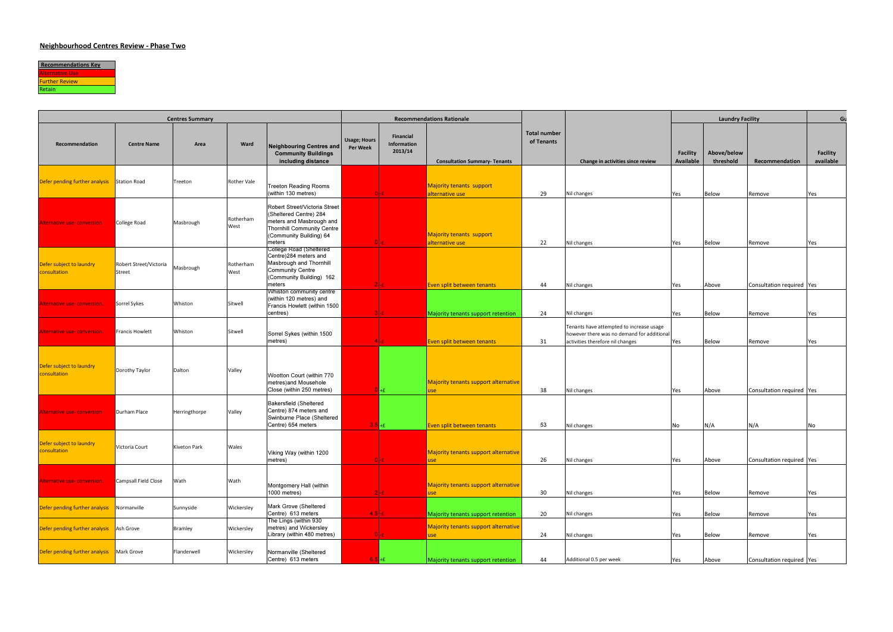

| <b>Centres Summary</b>                    |                                  |               |                    |                                                                                                                                                               | <b>Recommendations Rationale</b>       |                                     |                                                    |                                   |                                                                                                                            | <b>Laundry Facility</b>      |                          |                             | Gι                           |
|-------------------------------------------|----------------------------------|---------------|--------------------|---------------------------------------------------------------------------------------------------------------------------------------------------------------|----------------------------------------|-------------------------------------|----------------------------------------------------|-----------------------------------|----------------------------------------------------------------------------------------------------------------------------|------------------------------|--------------------------|-----------------------------|------------------------------|
| Recommendation                            | <b>Centre Name</b>               | Area          | Ward               | Neighbouring Centres and<br><b>Community Buildings</b><br>including distance                                                                                  | <b>Usage; Hours</b><br><b>Per Week</b> | Financial<br>Information<br>2013/14 | <b>Consultation Summary- Tenants</b>               | <b>Total number</b><br>of Tenants | Change in activities since review                                                                                          | <b>Facility</b><br>Available | Above/below<br>threshold | Recommendation              | <b>Facility</b><br>available |
| Defer pending further analysis            | Station Road                     | Treeton       | <b>Rother Vale</b> | <b>Treeton Reading Rooms</b><br>(within 130 metres)                                                                                                           |                                        |                                     | <b>Majority tenants support</b><br>alternative use | 29                                | Nil changes                                                                                                                | Yes                          | Below                    | Remove                      | Yes                          |
| Alternative use-conversion                | College Road                     | Masbrough     | Rotherham<br>West  | Robert Street/Victoria Street<br>(Sheltered Centre) 284<br>meters and Masbrough and<br><b>Thornhill Community Centre</b><br>(Community Building) 64<br>meters |                                        |                                     | <b>Majority tenants support</b><br>alternative use | 22                                | Nil changes                                                                                                                | Yes                          | Below                    | Remove                      | Yes                          |
| Defer subject to laundry<br>consultation  | Robert Street/Victoria<br>Street | Masbrough     | Rotherham<br>West  | College Road (Sheltered<br>Centre)284 meters and<br>Masbrough and Thornhill<br><b>Community Centre</b><br>(Community Building) 162<br>meters                  |                                        |                                     | Even split between tenants                         | 44                                | Nil changes                                                                                                                | Yes                          | Above                    | Consultation required   Yes |                              |
| Alternative use-conversion.               | Sorrel Sykes                     | Whiston       | Sitwell            | Whiston community centre<br>(within 120 metres) and<br>Francis Howlett (within 1500<br>centres)                                                               |                                        |                                     | Majority tenants support retention                 | 24                                | Nil changes                                                                                                                | Yes                          | Below                    | Remove                      | Yes                          |
| Alternative use-conversion.               | <b>Francis Howlett</b>           | Whiston       | Sitwell            | Sorrel Sykes (within 1500<br>metres)                                                                                                                          |                                        | 4 E .                               | Even split between tenants                         | 31                                | Tenants have attempted to increase usage<br>however there was no demand for additional<br>activities therefore nil changes | Yes                          | Below                    | Remove                      | Yes                          |
| Defer subject to laundry<br>consultation  | Dorothy Taylor                   | Dalton        | Valley             | Wootton Court (within 770<br>metres) and Mousehole<br>Close (within 250 metres)                                                                               |                                        | $H + E$                             | Majority tenants support alternative<br>use        | 38                                | Nil changes                                                                                                                | Yes                          | Above                    | Consultation required   Yes |                              |
| Alternative use-conversion                | Durham Place                     | Herringthorpe | Valley             | <b>Bakersfield (Sheltered</b><br>Centre) 874 meters and<br>Swinburne Place (Sheltered<br>Centre) 654 meters                                                   | $3.5 + f$                              |                                     | Even split between tenants                         | 53                                | Nil changes                                                                                                                | No                           | N/A                      | N/A                         | No                           |
| Defer subject to laundry<br>consultation  | Victoria Court                   | Kiveton Park  | Wales              | Viking Way (within 1200<br>metres)                                                                                                                            |                                        |                                     | Majority tenants support alternative<br>use        | 26                                | Nil changes                                                                                                                | Yes                          | Above                    | Consultation required   Yes |                              |
| Alternative use-conversion.               | Campsall Field Close             | Wath          | Wath               | Montgomery Hall (within<br>1000 metres)                                                                                                                       |                                        | 21-£.                               | Majority tenants support alternative<br>use        | 30                                | Nil changes                                                                                                                | Yes                          | Below                    | Remove                      | Yes                          |
| Defer pending further analysis            | Normanville                      | Sunnyside     | Wickersley         | Mark Grove (Sheltered<br>Centre) 613 meters                                                                                                                   | $4.5$ -£                               |                                     | Majority tenants support retention                 | 20                                | Nil changes                                                                                                                | Yes                          | Below                    | Remove                      | Yes                          |
| Defer pending further analysis            | Ash Grove                        | Bramley       | Wickersley         | The Lings (within 930<br>metres) and Wickersley<br>Library (within 480 metres)                                                                                |                                        | $0$ - $E$                           | Majority tenants support alternative<br>use        | 24                                | Nil changes                                                                                                                | Yes                          | Below                    | Remove                      | Yes                          |
| Defer pending further analysis Mark Grove |                                  | Flanderwell   | Wickersley         | Normanville (Sheltered<br>Centre) 613 meters                                                                                                                  | $6.5 + f$                              |                                     | Majority tenants support retention                 | 44                                | Additional 0.5 per week                                                                                                    | Yes                          | Above                    | Consultation required   Yes |                              |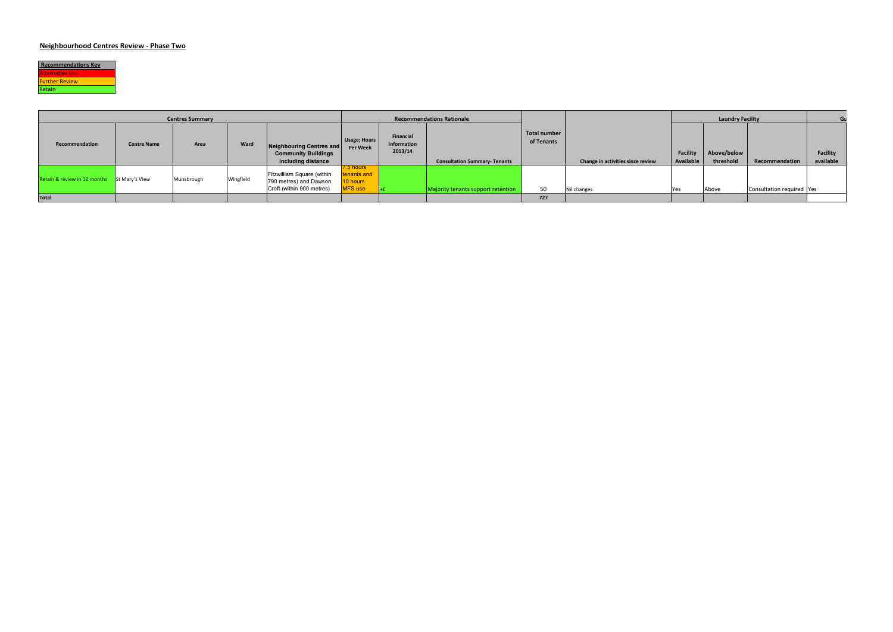

| <b>Centres Summary</b>                      |                    |            |           |                                                                                   | <b>Recommendations Rationale</b>                 |                                     |                                      |                            |                                   |                       | <b>Laundry Facility</b>  |                             |                       |
|---------------------------------------------|--------------------|------------|-----------|-----------------------------------------------------------------------------------|--------------------------------------------------|-------------------------------------|--------------------------------------|----------------------------|-----------------------------------|-----------------------|--------------------------|-----------------------------|-----------------------|
| Recommendation                              | <b>Centre Name</b> | Area       | Ward      | Neighbouring Centres and<br><b>Community Buildings</b><br>including distance      | Usage; Hours<br>Per Week                         | Financial<br>Information<br>2013/14 | <b>Consultation Summary- Tenants</b> | Total number<br>of Tenants | Change in activities since review | Facility<br>Available | Above/below<br>threshold | Recommendation              | Facility<br>available |
| Retain & review in 12 months St Mary's View |                    | Munsbrough | Wingfield | Fitzwilliam Square (within<br>790 metres) and Dawson<br>Croft (within 900 metres) | 7.5 hours l<br>enants and<br>10 hours<br>MFS use |                                     | Majority tenants support retention   | 50                         | Nil changes                       | Yes                   | Above                    | Consultation required   Yes |                       |
| <b>Total</b>                                |                    |            |           |                                                                                   |                                                  |                                     |                                      | 727                        |                                   |                       |                          |                             |                       |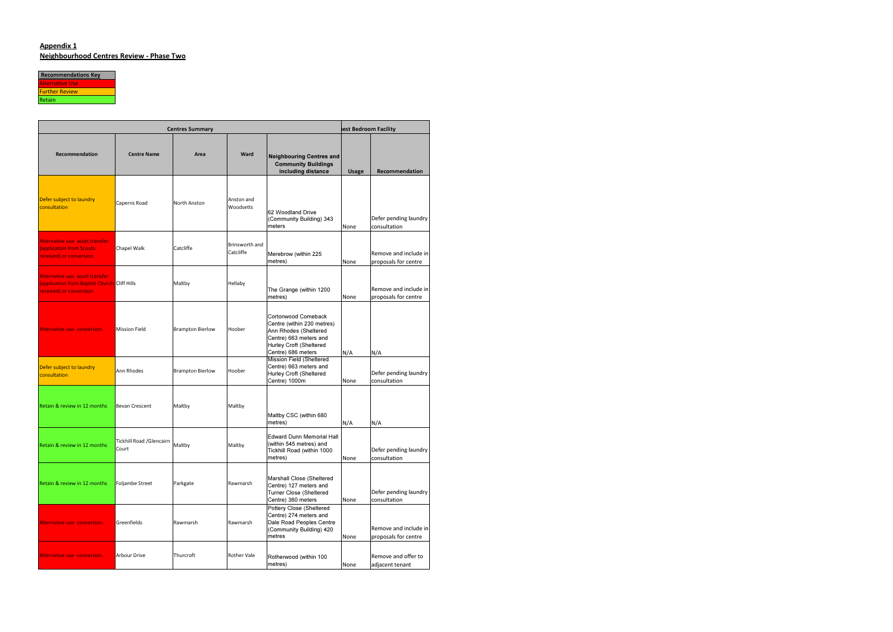#### Appendix 1Neighbourhood Centres Review - Phase Two



|                                                                                                             |                                    | <b>Centres Summary</b>  |                             |                                                                                                                                                       | est Bedroom Facility |                                               |  |  |
|-------------------------------------------------------------------------------------------------------------|------------------------------------|-------------------------|-----------------------------|-------------------------------------------------------------------------------------------------------------------------------------------------------|----------------------|-----------------------------------------------|--|--|
| Recommendation                                                                                              | <b>Centre Name</b>                 | Area                    | Ward                        | <b>Neighbouring Centres and</b><br><b>Community Buildings</b><br>including distance                                                                   | <b>Usage</b>         | <b>Recommendation</b>                         |  |  |
| Defer subject to laundry<br>consultation                                                                    | Caperns Road                       | North Anston            | Anston and<br>Woodsetts     | 62 Woodland Drive<br>(Community Building) 343<br>meters                                                                                               | None                 | Defer pending laundry<br>consultation         |  |  |
| Alternative use- asset transfer<br><b>(application from Scouts)</b><br>received) or conversion.             | Chapel Walk                        | Catcliffe               | Brinsworth and<br>Catcliffe | Merebrow (within 225<br>metres)                                                                                                                       | None                 | Remove and include in<br>proposals for centre |  |  |
| Alternative use- asset transfer<br>(application from Baptist Church Cliff Hills<br>received) or conversion. |                                    | Maltby                  | Hellaby                     | The Grange (within 1200<br>metres)                                                                                                                    | None                 | Remove and include in<br>proposals for centre |  |  |
| Alternative use-conversion.                                                                                 | <b>Mission Field</b>               | <b>Brampton Bierlow</b> | Hoober                      | Cortonwood Comeback<br>Centre (within 230 metres)<br>Ann Rhodes (Sheltered<br>Centre) 663 meters and<br>Hurley Croft (Sheltered<br>Centre) 686 meters | N/A                  | N/A                                           |  |  |
| Defer subject to laundry<br>consultation                                                                    | Ann Rhodes                         | <b>Brampton Bierlow</b> | Hoober                      | <b>Mission Field (Sheltered</b><br>Centre) 663 meters and<br>Hurley Croft (Sheltered<br>Centre) 1000m                                                 | None                 | Defer pending laundry<br>consultation         |  |  |
| Retain & review in 12 months                                                                                | <b>Bevan Crescent</b>              | Maltby                  | Maltby                      | Maltby CSC (within 680<br>metres)                                                                                                                     | N/A                  | N/A                                           |  |  |
| Retain & review in 12 months                                                                                | Tickhill Road / Glencairn<br>Court | Maltby                  | Maltby                      | <b>Edward Dunn Memorial Hall</b><br>(within 545 metres) and<br>Tickhill Road (within 1000<br>metres)                                                  | None                 | Defer pending laundry<br>consultation         |  |  |
| Retain & review in 12 months                                                                                | <b>Foljambe Street</b>             | Parkgate                | Rawmarsh                    | Marshall Close (Sheltered<br>Centre) 127 meters and<br>Turner Close (Sheltered<br>Centre) 360 meters                                                  | None                 | Defer pending laundry<br>consultation         |  |  |
| Alternative use-conversion.                                                                                 | Greenfields                        | Rawmarsh                | Rawmarsh                    | Pottery Close (Sheltered<br>Centre) 274 meters and<br>Dale Road Peoples Centre<br>(Community Building) 420<br>metres                                  | None                 | Remove and include in<br>proposals for centre |  |  |
| Alternative use-conversion.                                                                                 | <b>Arbour Drive</b>                | Thurcroft               | <b>Rother Vale</b>          | Rotherwood (within 100<br>metres)                                                                                                                     | None                 | Remove and offer to<br>adjacent tenant        |  |  |

 $\overline{\phantom{0}}$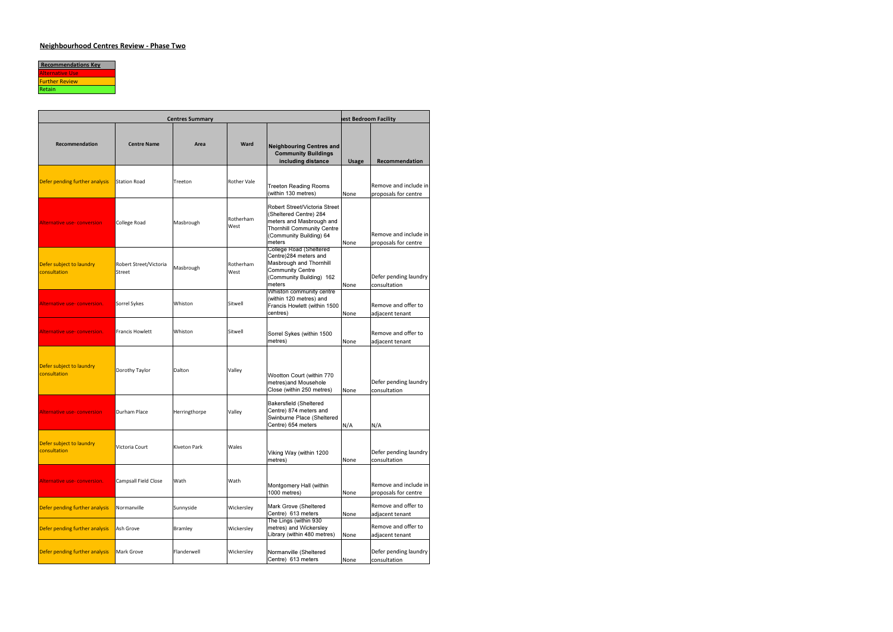

|                                          | est Bedroom Facility             |               |                    |                                                                                                                                                               |              |                                               |
|------------------------------------------|----------------------------------|---------------|--------------------|---------------------------------------------------------------------------------------------------------------------------------------------------------------|--------------|-----------------------------------------------|
| Recommendation                           | <b>Centre Name</b>               | Area          | Ward               | <b>Neighbouring Centres and</b><br><b>Community Buildings</b><br>including distance                                                                           | <b>Usage</b> | Recommendation                                |
| Defer pending further analysis           | <b>Station Road</b>              | Treeton       | <b>Rother Vale</b> | <b>Treeton Reading Rooms</b><br>(within 130 metres)                                                                                                           | None         | Remove and include in<br>proposals for centre |
| <b>Alternative use- conversion</b>       | College Road                     | Masbrough     | Rotherham<br>West  | Robert Street/Victoria Street<br>(Sheltered Centre) 284<br>meters and Masbrough and<br><b>Thornhill Community Centre</b><br>(Community Building) 64<br>meters | None         | Remove and include in<br>proposals for centre |
| Defer subject to laundry<br>consultation | Robert Street/Victoria<br>Street | Masbrough     | Rotherham<br>West  | College Road (Sheltered<br>Centre)284 meters and<br>Masbrough and Thornhill<br><b>Community Centre</b><br>(Community Building) 162<br>meters                  | None         | Defer pending laundry<br>consultation         |
| Alternative use-conversion.              | Sorrel Sykes                     | Whiston       | Sitwell            | Whiston community centre<br>(within 120 metres) and<br>Francis Howlett (within 1500<br>centres)                                                               | None         | Remove and offer to<br>adjacent tenant        |
| Alternative use-conversion.              | Francis Howlett                  | Whiston       | Sitwell            | Sorrel Sykes (within 1500<br>metres)                                                                                                                          | None         | Remove and offer to<br>adjacent tenant        |
| Defer subject to laundry<br>consultation | Dorothy Taylor                   | Dalton        | Valley             | Wootton Court (within 770<br>metres) and Mousehole<br>Close (within 250 metres)                                                                               | None         | Defer pending laundry<br>consultation         |
| Alternative use-conversion               | Durham Place                     | Herringthorpe | Valley             | <b>Bakersfield (Sheltered</b><br>Centre) 874 meters and<br>Swinburne Place (Sheltered<br>Centre) 654 meters                                                   | N/A          | N/A                                           |
| Defer subject to laundry<br>consultation | Victoria Court                   | Kiveton Park  | Wales              | Viking Way (within 1200<br>metres)                                                                                                                            | None         | Defer pending laundry<br>consultation         |
| Alternative use-conversion.              | Campsall Field Close             | Wath          | Wath               | Montgomery Hall (within<br>1000 metres)                                                                                                                       | None         | Remove and include in<br>proposals for centre |
| Defer pending further analysis           | Normanville                      | Sunnyside     | Wickersley         | Mark Grove (Sheltered<br>Centre) 613 meters                                                                                                                   | None         | Remove and offer to<br>adjacent tenant        |
| Defer pending further analysis           | Ash Grove                        | Bramley       | Wickersley         | The Lings (within 930<br>metres) and Wickersley<br>Library (within 480 metres)                                                                                | None         | Remove and offer to<br>adjacent tenant        |
| Defer pending further analysis           | Mark Grove                       | Flanderwell   | Wickersley         | Normanville (Sheltered<br>Centre) 613 meters                                                                                                                  | None         | Defer pending laundry<br>consultation         |